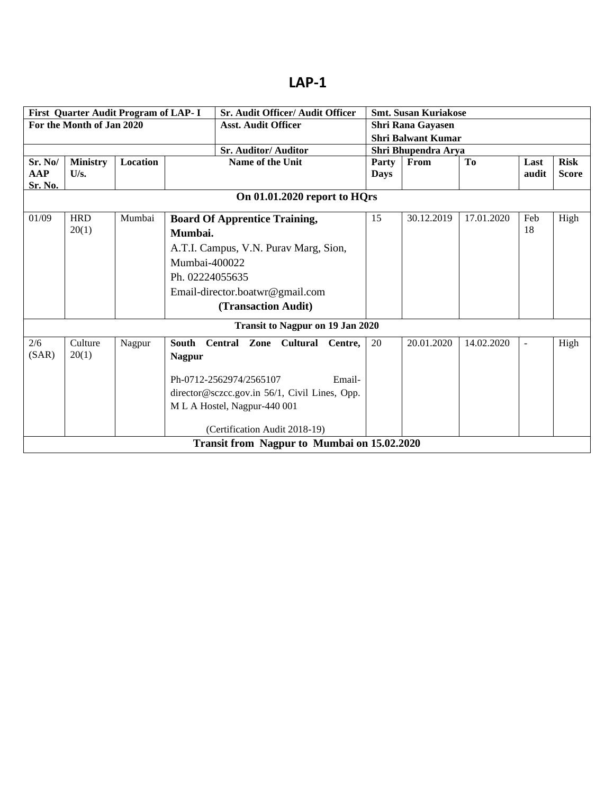|                                                                       |                           | First Quarter Audit Program of LAP- I |                 | Sr. Audit Officer/ Audit Officer              |                     |             | <b>Smt. Susan Kuriakose</b> |                |                          |              |
|-----------------------------------------------------------------------|---------------------------|---------------------------------------|-----------------|-----------------------------------------------|---------------------|-------------|-----------------------------|----------------|--------------------------|--------------|
|                                                                       | For the Month of Jan 2020 |                                       |                 | <b>Asst. Audit Officer</b>                    |                     |             | Shri Rana Gayasen           |                |                          |              |
|                                                                       |                           |                                       |                 |                                               |                     |             | <b>Shri Balwant Kumar</b>   |                |                          |              |
|                                                                       |                           |                                       |                 | <b>Sr. Auditor/Auditor</b>                    | Shri Bhupendra Arya |             |                             |                |                          |              |
| Sr. No/                                                               | <b>Ministry</b>           | <b>Location</b>                       |                 | <b>Name of the Unit</b>                       |                     | Party       | From                        | T <sub>0</sub> | Last                     | <b>Risk</b>  |
| <b>AAP</b>                                                            | U/s.                      |                                       |                 |                                               |                     | <b>Days</b> |                             |                | audit                    | <b>Score</b> |
| <b>Sr. No.</b>                                                        |                           |                                       |                 |                                               |                     |             |                             |                |                          |              |
|                                                                       |                           |                                       |                 | On 01.01.2020 report to HQrs                  |                     |             |                             |                |                          |              |
| 01/09<br><b>HRD</b><br>Mumbai<br><b>Board Of Apprentice Training,</b> |                           |                                       |                 | 15                                            | 30.12.2019          | 17.01.2020  | Feb                         | High           |                          |              |
|                                                                       | 20(1)                     |                                       | Mumbai.         |                                               |                     |             |                             |                | 18                       |              |
|                                                                       |                           |                                       |                 | A.T.I. Campus, V.N. Purav Marg, Sion,         |                     |             |                             |                |                          |              |
|                                                                       |                           |                                       |                 | Mumbai-400022                                 |                     |             |                             |                |                          |              |
|                                                                       |                           |                                       | Ph. 02224055635 |                                               |                     |             |                             |                |                          |              |
|                                                                       |                           |                                       |                 | Email-director.boatwr@gmail.com               |                     |             |                             |                |                          |              |
|                                                                       |                           |                                       |                 |                                               |                     |             |                             |                |                          |              |
|                                                                       |                           |                                       |                 | (Transaction Audit)                           |                     |             |                             |                |                          |              |
|                                                                       |                           |                                       |                 | <b>Transit to Nagpur on 19 Jan 2020</b>       |                     |             |                             |                |                          |              |
| 2/6                                                                   | Culture                   | Nagpur                                |                 | South Central Zone Cultural                   | Centre.             | 20          | 20.01.2020                  | 14.02.2020     | $\overline{\phantom{a}}$ | High         |
| (SAR)                                                                 | 20(1)                     |                                       | <b>Nagpur</b>   |                                               |                     |             |                             |                |                          |              |
|                                                                       |                           |                                       |                 |                                               |                     |             |                             |                |                          |              |
|                                                                       |                           |                                       |                 | Ph-0712-2562974/2565107                       | Email-              |             |                             |                |                          |              |
|                                                                       |                           |                                       |                 | director@sczcc.gov.in 56/1, Civil Lines, Opp. |                     |             |                             |                |                          |              |
|                                                                       |                           |                                       |                 | M L A Hostel, Nagpur-440 001                  |                     |             |                             |                |                          |              |
|                                                                       |                           |                                       |                 |                                               |                     |             |                             |                |                          |              |
|                                                                       |                           |                                       |                 | (Certification Audit 2018-19)                 |                     |             |                             |                |                          |              |
|                                                                       |                           |                                       |                 | Transit from Nagpur to Mumbai on 15.02.2020   |                     |             |                             |                |                          |              |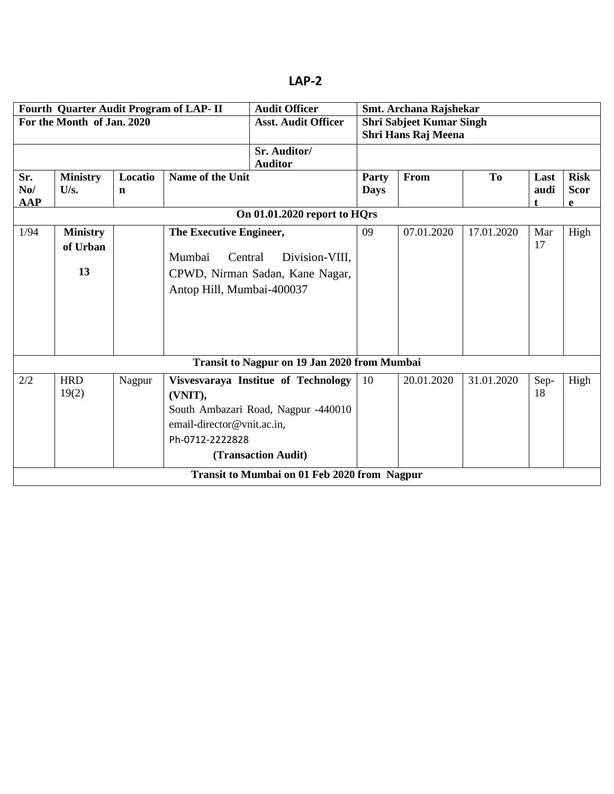|                       |                            |                        | Fourth Quarter Audit Program of LAP- II | <b>Audit Officer</b>                                                   |                      | Smt. Archana Rajshekar          |                |              |                            |  |  |  |
|-----------------------|----------------------------|------------------------|-----------------------------------------|------------------------------------------------------------------------|----------------------|---------------------------------|----------------|--------------|----------------------------|--|--|--|
|                       | For the Month of Jan. 2020 |                        |                                         | <b>Asst. Audit Officer</b>                                             |                      | <b>Shri Sabjeet Kumar Singh</b> |                |              |                            |  |  |  |
|                       |                            |                        |                                         |                                                                        |                      | Shri Hans Raj Meena             |                |              |                            |  |  |  |
|                       |                            |                        |                                         | Sr. Auditor/                                                           |                      |                                 |                |              |                            |  |  |  |
|                       |                            |                        |                                         | <b>Auditor</b>                                                         |                      |                                 |                |              |                            |  |  |  |
| Sr.<br>N <sub>0</sub> | <b>Ministry</b><br>U/s.    | Locatio<br>$\mathbf n$ | Name of the Unit                        |                                                                        | Party<br><b>Days</b> | From                            | T <sub>o</sub> | Last<br>audi | <b>Risk</b><br><b>Scor</b> |  |  |  |
| <b>AAP</b>            |                            |                        |                                         |                                                                        |                      |                                 |                |              | e                          |  |  |  |
|                       |                            |                        |                                         | On 01.01.2020 report to HQrs                                           |                      |                                 |                |              |                            |  |  |  |
| 1/94                  | <b>Ministry</b>            |                        | The Executive Engineer,                 | 09                                                                     | 07.01.2020           | 17.01.2020                      | Mar            | High         |                            |  |  |  |
|                       | of Urban                   |                        |                                         | Mumbai<br>Central<br>Division-VIII.<br>CPWD, Nirman Sadan, Kane Nagar, |                      |                                 |                | 17           |                            |  |  |  |
|                       |                            |                        |                                         |                                                                        |                      |                                 |                |              |                            |  |  |  |
|                       | 13                         |                        |                                         |                                                                        |                      |                                 |                |              |                            |  |  |  |
|                       |                            |                        |                                         | Antop Hill, Mumbai-400037                                              |                      |                                 |                |              |                            |  |  |  |
|                       |                            |                        |                                         |                                                                        |                      |                                 |                |              |                            |  |  |  |
|                       |                            |                        |                                         |                                                                        |                      |                                 |                |              |                            |  |  |  |
|                       |                            |                        |                                         |                                                                        |                      |                                 |                |              |                            |  |  |  |
|                       |                            |                        |                                         |                                                                        |                      |                                 |                |              |                            |  |  |  |
|                       |                            |                        |                                         | Transit to Nagpur on 19 Jan 2020 from Mumbai                           |                      |                                 |                |              |                            |  |  |  |
| 2/2                   | <b>HRD</b>                 | Nagpur                 |                                         | Visvesvaraya Institue of Technology                                    | 10                   | 20.01.2020                      | 31.01.2020     | Sep-         | High                       |  |  |  |
|                       | 19(2)                      |                        | (VNIT),                                 |                                                                        |                      |                                 |                | 18           |                            |  |  |  |
|                       |                            |                        |                                         | South Ambazari Road, Nagpur -440010                                    |                      |                                 |                |              |                            |  |  |  |
|                       |                            |                        | email-director@vnit.ac.in,              |                                                                        |                      |                                 |                |              |                            |  |  |  |
|                       |                            |                        | Ph-0712-2222828                         |                                                                        |                      |                                 |                |              |                            |  |  |  |
|                       |                            |                        |                                         | (Transaction Audit)                                                    |                      |                                 |                |              |                            |  |  |  |
|                       |                            |                        |                                         | Transit to Mumbai on 01 Feb 2020 from Nagpur                           |                      |                                 |                |              |                            |  |  |  |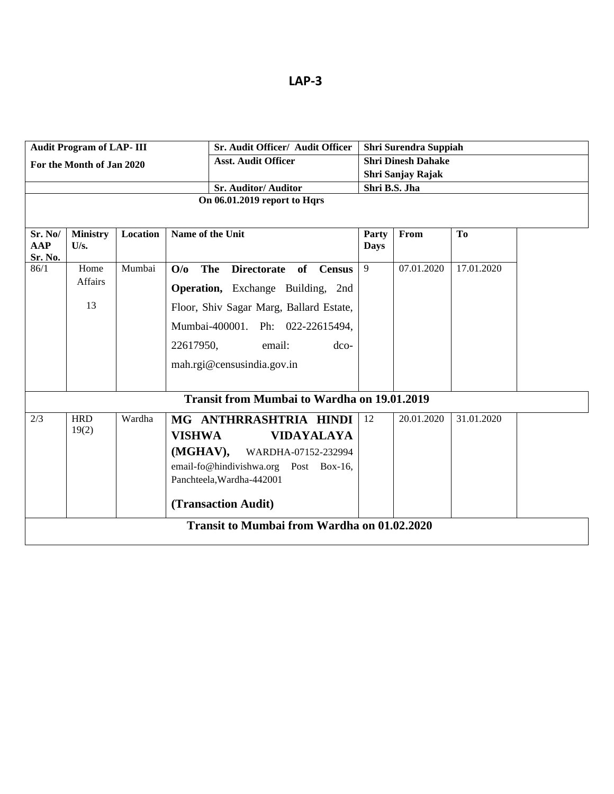| ×<br>۰. |
|---------|
|         |

|         | <b>Audit Program of LAP- III</b> |                 | Sr. Audit Officer/ Audit Officer                        |                      | <b>Shri Surendra Suppiah</b> |            |  |  |  |
|---------|----------------------------------|-----------------|---------------------------------------------------------|----------------------|------------------------------|------------|--|--|--|
|         | For the Month of Jan 2020        |                 | <b>Asst. Audit Officer</b>                              |                      | <b>Shri Dinesh Dahake</b>    |            |  |  |  |
|         |                                  |                 |                                                         |                      | Shri Sanjay Rajak            |            |  |  |  |
|         |                                  |                 | <b>Sr. Auditor/ Auditor</b>                             |                      | Shri B.S. Jha                |            |  |  |  |
|         |                                  |                 | On 06.01.2019 report to Hqrs                            |                      |                              |            |  |  |  |
|         |                                  |                 |                                                         |                      |                              |            |  |  |  |
| Sr. No/ | <b>Ministry</b>                  | <b>Location</b> | Name of the Unit                                        |                      | From                         | To         |  |  |  |
| AAP     | U/s.                             |                 |                                                         | Party<br><b>Days</b> |                              |            |  |  |  |
| Sr. No. |                                  |                 |                                                         |                      |                              |            |  |  |  |
| 86/1    | Home                             | Mumbai          | O/O<br>The<br><b>Directorate</b><br>of<br><b>Census</b> | 9                    | 07.01.2020                   | 17.01.2020 |  |  |  |
|         | Affairs                          |                 | <b>Operation,</b> Exchange Building, 2nd                |                      |                              |            |  |  |  |
|         | 13                               |                 | Floor, Shiv Sagar Marg, Ballard Estate,                 |                      |                              |            |  |  |  |
|         |                                  |                 |                                                         |                      |                              |            |  |  |  |
|         |                                  |                 | Mumbai-400001. Ph: 022-22615494,                        |                      |                              |            |  |  |  |
|         |                                  |                 | 22617950,<br>email:<br>$dco-$                           |                      |                              |            |  |  |  |
|         |                                  |                 | mah.rgi@censusindia.gov.in                              |                      |                              |            |  |  |  |
|         |                                  |                 |                                                         |                      |                              |            |  |  |  |
|         |                                  |                 | <b>Transit from Mumbai to Wardha on 19.01.2019</b>      |                      |                              |            |  |  |  |
|         |                                  |                 |                                                         |                      |                              |            |  |  |  |
| 2/3     | <b>HRD</b>                       | Wardha          | MG ANTHRRASHTRIA HINDI                                  | 12                   | 20.01.2020                   | 31.01.2020 |  |  |  |
|         | 19(2)                            |                 | <b>VISHWA</b><br><b>VIDAYALAYA</b>                      |                      |                              |            |  |  |  |
|         |                                  |                 | (MGHAV),<br>WARDHA-07152-232994                         |                      |                              |            |  |  |  |
|         |                                  |                 | email-fo@hindivishwa.org Post Box-16,                   |                      |                              |            |  |  |  |
|         |                                  |                 | Panchteela, Wardha-442001                               |                      |                              |            |  |  |  |
|         |                                  |                 |                                                         |                      |                              |            |  |  |  |
|         |                                  |                 | (Transaction Audit)                                     |                      |                              |            |  |  |  |
|         |                                  |                 | Transit to Mumbai from Wardha on 01.02.2020             |                      |                              |            |  |  |  |
|         |                                  |                 |                                                         |                      |                              |            |  |  |  |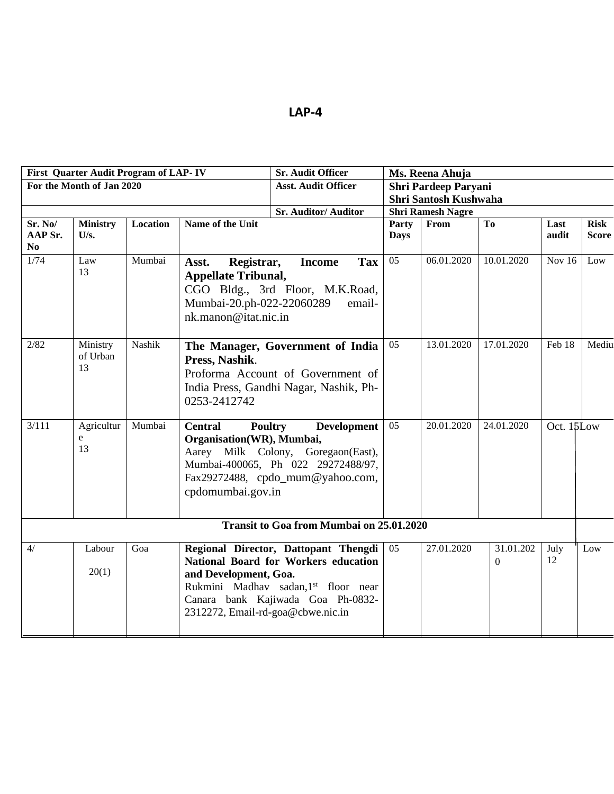|                                      | First Quarter Audit Program of LAP-IV |               |                                                                                                        | <b>Sr. Audit Officer</b><br>Ms. Reena Ahuja                                                                                                                                                            |                      |                          |                             |               |                             |
|--------------------------------------|---------------------------------------|---------------|--------------------------------------------------------------------------------------------------------|--------------------------------------------------------------------------------------------------------------------------------------------------------------------------------------------------------|----------------------|--------------------------|-----------------------------|---------------|-----------------------------|
|                                      | For the Month of Jan 2020             |               |                                                                                                        | <b>Asst. Audit Officer</b>                                                                                                                                                                             |                      | Shri Pardeep Paryani     |                             |               |                             |
|                                      |                                       |               |                                                                                                        |                                                                                                                                                                                                        |                      | Shri Santosh Kushwaha    |                             |               |                             |
|                                      |                                       |               |                                                                                                        | <b>Sr. Auditor/ Auditor</b>                                                                                                                                                                            |                      | <b>Shri Ramesh Nagre</b> |                             |               |                             |
| Sr. No/<br>AAP Sr.<br>N <sub>0</sub> | <b>Ministry</b><br>U/s.               | Location      | Name of the Unit                                                                                       |                                                                                                                                                                                                        | Party<br><b>Days</b> | From                     | T <sub>o</sub>              | Last<br>audit | <b>Risk</b><br><b>Score</b> |
| 1/74                                 | Law<br>13                             | Mumbai        | Registrar,<br>Asst.<br><b>Appellate Tribunal,</b><br>Mumbai-20.ph-022-22060289<br>nk.manon@itat.nic.in | <b>Tax</b><br><b>Income</b><br>CGO Bldg., 3rd Floor, M.K.Road,<br>email-                                                                                                                               | 05                   | 06.01.2020               | 10.01.2020                  | Nov 16        | Low                         |
| 2/82                                 | Ministry<br>of Urban<br>13            | <b>Nashik</b> | Press, Nashik.<br>0253-2412742                                                                         | The Manager, Government of India<br>Proforma Account of Government of<br>India Press, Gandhi Nagar, Nashik, Ph-                                                                                        |                      |                          | 17.01.2020                  | Feb 18        | Mediu                       |
| 3/111                                | Agricultur<br>e<br>13                 | Mumbai        | <b>Central</b>                                                                                         | <b>Poultry</b><br><b>Development</b><br>Organisation(WR), Mumbai,<br>Aarey Milk Colony, Goregaon(East),<br>Mumbai-400065, Ph 022 29272488/97,<br>Fax29272488, cpdo_mum@yahoo.com,<br>cpdomumbai.gov.in |                      | 20.01.2020               | 24.01.2020                  | Oct. 15Low    |                             |
|                                      |                                       |               |                                                                                                        | <b>Transit to Goa from Mumbai on 25.01.2020</b>                                                                                                                                                        |                      |                          |                             |               |                             |
| 4/                                   | Labour<br>20(1)                       | Goa           | and Development, Goa.<br>2312272, Email-rd-goa@cbwe.nic.in                                             | Regional Director, Dattopant Thengdi<br><b>National Board for Workers education</b><br>Rukmini Madhav sadan, 1st floor near<br>Canara bank Kajiwada Goa Ph-0832-                                       | 05                   | 27.01.2020               | 31.01.202<br>$\overline{0}$ | July<br>12    | Low                         |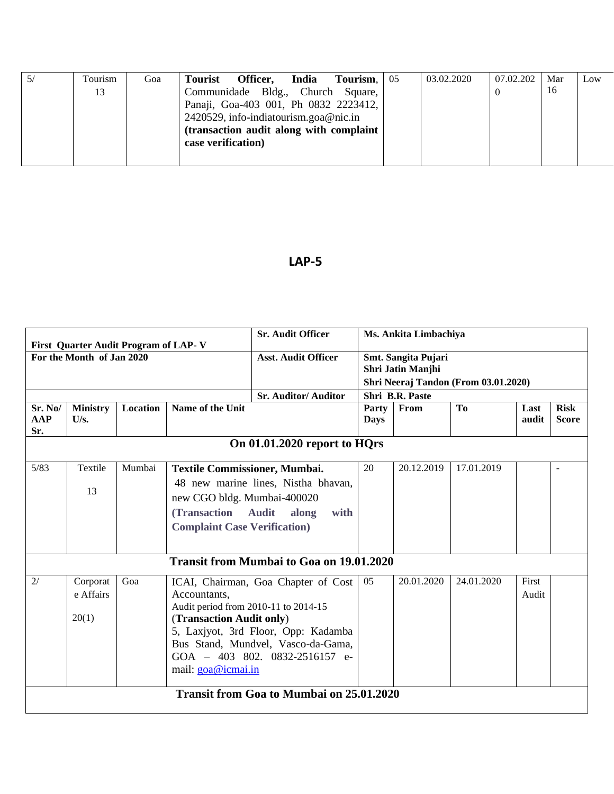| Tourism | Goa | <b>Tourist</b>     | Officer,                                 | India | Tourism, | -05 | 03.02.2020 | 07.02.202 | Mar | Low |
|---------|-----|--------------------|------------------------------------------|-------|----------|-----|------------|-----------|-----|-----|
| 13      |     |                    | Communidade Bldg., Church Square,        |       |          |     |            |           | 16  |     |
|         |     |                    | Panaji, Goa-403 001, Ph 0832 2223412,    |       |          |     |            |           |     |     |
|         |     |                    | 2420529, info-indiatourism.goa@nic.in    |       |          |     |            |           |     |     |
|         |     |                    | (transaction audit along with complaint) |       |          |     |            |           |     |     |
|         |     | case verification) |                                          |       |          |     |            |           |     |     |
|         |     |                    |                                          |       |          |     |            |           |     |     |

|                       | First Quarter Audit Program of LAP-V |          |                                                                | <b>Sr. Audit Officer</b>                                                                                                                                                                   |               | Ms. Ankita Limbachiya                                   |                |                |                             |  |  |
|-----------------------|--------------------------------------|----------|----------------------------------------------------------------|--------------------------------------------------------------------------------------------------------------------------------------------------------------------------------------------|---------------|---------------------------------------------------------|----------------|----------------|-----------------------------|--|--|
|                       | For the Month of Jan 2020            |          |                                                                | <b>Asst. Audit Officer</b>                                                                                                                                                                 |               | Smt. Sangita Pujari<br>Shri Jatin Manjhi                |                |                |                             |  |  |
|                       |                                      |          |                                                                | <b>Sr. Auditor/Auditor</b>                                                                                                                                                                 |               | Shri Neeraj Tandon (From 03.01.2020)<br>Shri B.R. Paste |                |                |                             |  |  |
| Sr. No/<br>AAP<br>Sr. | <b>Ministry</b><br>U/s.              | Location | Name of the Unit                                               |                                                                                                                                                                                            | Party<br>Days | From                                                    | T <sub>0</sub> | Last<br>audit  | <b>Risk</b><br><b>Score</b> |  |  |
|                       |                                      |          |                                                                | On 01.01.2020 report to HQrs                                                                                                                                                               |               |                                                         |                |                |                             |  |  |
| 5/83                  | Textile<br>13                        | Mumbai   |                                                                | <b>Textile Commissioner, Mumbai.</b><br>48 new marine lines, Nistha bhavan,<br>new CGO bldg. Mumbai-400020<br>(Transaction Audit)<br>along<br>with<br><b>Complaint Case Verification</b> ) |               |                                                         | 17.01.2019     |                |                             |  |  |
|                       |                                      |          |                                                                | <b>Transit from Mumbai to Goa on 19.01.2020</b>                                                                                                                                            |               |                                                         |                |                |                             |  |  |
| 2/                    | Corporat<br>e Affairs<br>20(1)       | Goa      | Accountants,<br>(Transaction Audit only)<br>mail: goa@icmai.in | ICAI, Chairman, Goa Chapter of Cost<br>Audit period from 2010-11 to 2014-15<br>5, Laxjyot, 3rd Floor, Opp: Kadamba<br>Bus Stand, Mundvel, Vasco-da-Gama,<br>GOA - 403 802. 0832-2516157 e- | 05            | 20.01.2020                                              | 24.01.2020     | First<br>Audit |                             |  |  |
|                       |                                      |          |                                                                | <b>Transit from Goa to Mumbai on 25.01.2020</b>                                                                                                                                            |               |                                                         |                |                |                             |  |  |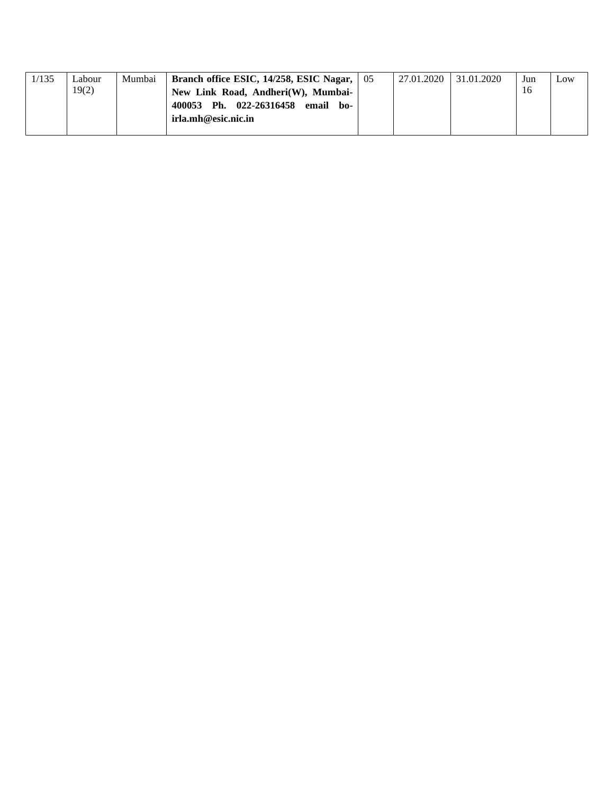| 1/135 | Labour | Mumbai | Branch office ESIC, $14/258$ , ESIC Nagar, $\mid 05 \rangle$ | 27.01.2020 | 31.01.2020 | Jun | Low |
|-------|--------|--------|--------------------------------------------------------------|------------|------------|-----|-----|
|       | 19(2)  |        | New Link Road, Andheri(W), Mumbai-                           |            |            |     |     |
|       |        |        | 400053 Ph. 022-26316458<br>email<br>ho-                      |            |            |     |     |
|       |        |        | irla.mh@esic.nic.in                                          |            |            |     |     |
|       |        |        |                                                              |            |            |     |     |